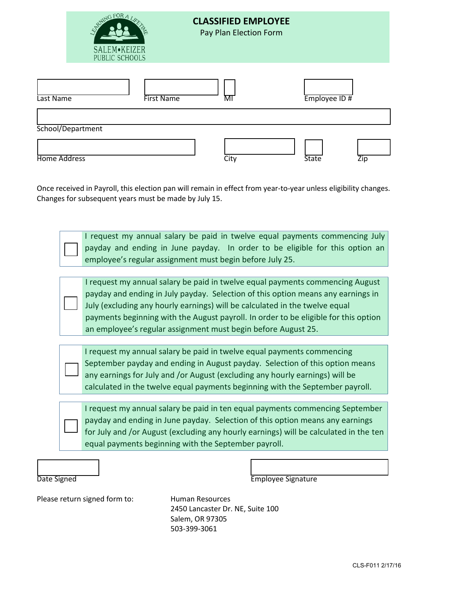

# **CLASSIFIED EMPLOYEE**

Pay Plan Election Form

| Last Name           | <b>First Name</b> | MI   | $Employee$ ID# |     |
|---------------------|-------------------|------|----------------|-----|
| School/Department   |                   |      |                |     |
| <b>Home Address</b> |                   | City | <b>State</b>   | Zip |

Once received in Payroll, this election pan will remain in effect from year-to-year unless eligibility changes. Changes for subsequent years must be made by July 15.

> I request my annual salary be paid in twelve equal payments commencing July payday and ending in June payday. In order to be eligible for this option an employee's regular assignment must begin before July 25.

I request my annual salary be paid in twelve equal payments commencing August payday and ending in July payday. Selection of this option means any earnings in July (excluding any hourly earnings) will be calculated in the twelve equal payments beginning with the August payroll. In order to be eligible for this option an employee's regular assignment must begin before August 25.

I request my annual salary be paid in twelve equal payments commencing September payday and ending in August payday. Selection of this option means any earnings for July and /or August (excluding any hourly earnings) will be calculated in the twelve equal payments beginning with the September payroll.

I request my annual salary be paid in ten equal payments commencing September payday and ending in June payday. Selection of this option means any earnings for July and /or August (excluding any hourly earnings) will be calculated in the ten equal payments beginning with the September payroll.

**Employee Signature** 

Please return signed form to: Human Resources

2450 Lancaster Dr. NE, Suite 100 Salem, OR 97305 503-399-3061